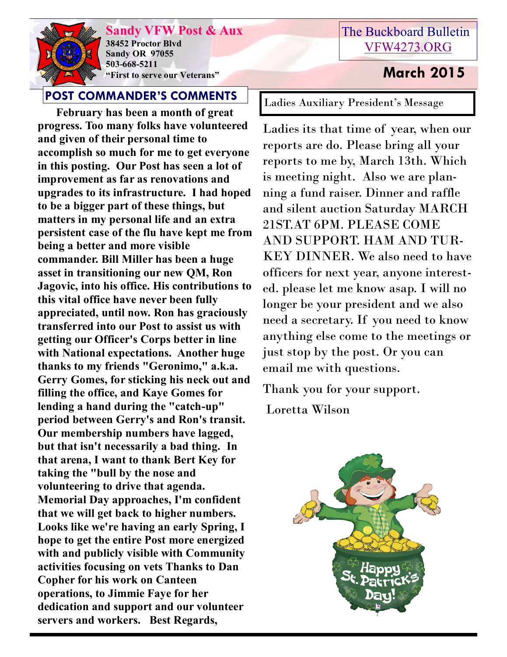

**Sandy VFW Post & Aux 38452 Proctor Blvd Sandy OR 97055 503-668-5211 "First to serve our Veterans" March 2015** 

# **POST COMMANDER'S COMMENTS**

**February has been a month of great progress. Too many folks have volunteered and given of their personal time to accomplish so much for me to get everyone in this posting. Our Post has seen a lot of improvement as far as renovations and upgrades to its infrastructure. I had hoped to be a bigger part of these things, but matters in my personal life and an extra persistent case of the flu have kept me from being a better and more visible commander. Bill Miller has been a huge asset in transitioning our new QM, Ron Jagovic, into his office. His contributions to this vital office have never been fully appreciated, until now. Ron has graciously transferred into our Post to assist us with getting our Officer's Corps better in line with National expectations. Another huge thanks to my friends "Geronimo," a.k.a. Gerry Gomes, for sticking his neck out and filling the office, and Kaye Gomes for lending a hand during the "catch-up" period between Gerry's and Ron's transit. Our membership numbers have lagged, but that isn't necessarily a bad thing. In that arena, I want to thank Bert Key for taking the "bull by the nose and volunteering to drive that agenda. Memorial Day approaches, I'm confident that we will get back to higher numbers. Looks like we're having an early Spring, I hope to get the entire Post more energized with and publicly visible with Community activities focusing on vets Thanks to Dan Copher for his work on Canteen operations, to Jimmie Faye for her dedication and support and our volunteer servers and workers. Best Regards,** 

Ladies Auxiliary President's Message

Ladies its that time of year, when our reports are do. Please bring all your reports to me by, March 13th. Which is meeting night. Also we are planning a fund raiser. Dinner and raffle and silent auction Saturday MARCH 21ST.AT 6PM. PLEASE COME AND SUPPORT. HAM AND TUR-KEY DINNER. We also need to have officers for next year, anyone interested. please let me know asap. I will no longer be your president and we also need a secretary. If you need to know anything else come to the meetings or just stop by the post. Or you can email me with questions.

Thank you for your support.

Loretta Wilson

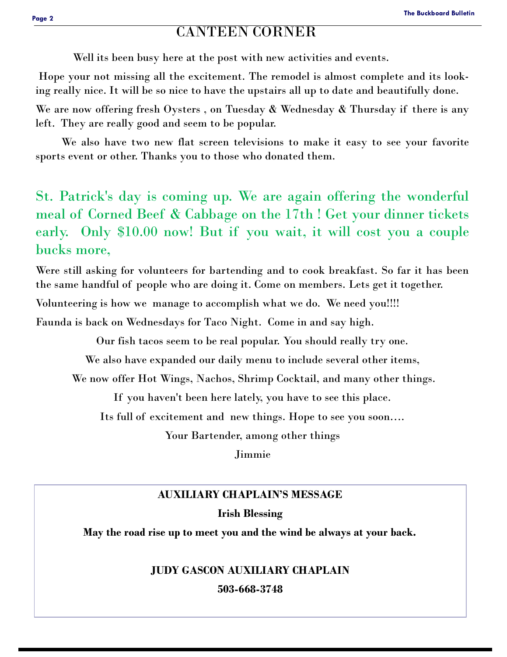# CANTEEN CORNER

Well its been busy here at the post with new activities and events.

Hope your not missing all the excitement. The remodel is almost complete and its looking really nice. It will be so nice to have the upstairs all up to date and beautifully done.

We are now offering fresh Oysters, on Tuesday & Wednesday & Thursday if there is any left. They are really good and seem to be popular.

 We also have two new flat screen televisions to make it easy to see your favorite sports event or other. Thanks you to those who donated them.

St. Patrick's day is coming up. We are again offering the wonderful meal of Corned Beef & Cabbage on the 17th ! Get your dinner tickets early. Only \$10.00 now! But if you wait, it will cost you a couple bucks more,

Were still asking for volunteers for bartending and to cook breakfast. So far it has been the same handful of people who are doing it. Come on members. Lets get it together.

Volunteering is how we manage to accomplish what we do. We need you!!!!

Faunda is back on Wednesdays for Taco Night. Come in and say high.

Our fish tacos seem to be real popular. You should really try one.

We also have expanded our daily menu to include several other items,

We now offer Hot Wings, Nachos, Shrimp Cocktail, and many other things.

If you haven't been here lately, you have to see this place.

Its full of excitement and new things. Hope to see you soon….

Your Bartender, among other things

Jimmie

## **AUXILIARY CHAPLAIN'S MESSAGE**

### **Irish Blessing**

**May the road rise up to meet you and the wind be always at your back.**

### **JUDY GASCON AUXILIARY CHAPLAIN**

**503-668-3748**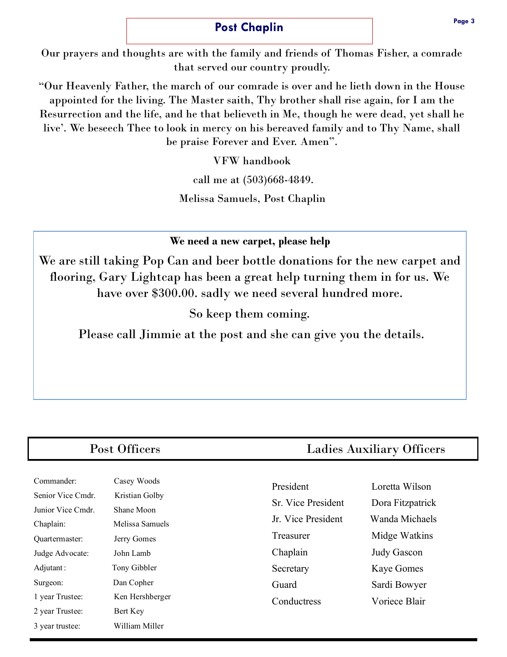## **Post Chaplin**

Our prayers and thoughts are with the family and friends of Thomas Fisher, a comrade that served our country proudly.

"Our Heavenly Father, the march of our comrade is over and he lieth down in the House appointed for the living. The Master saith, Thy brother shall rise again, for I am the Resurrection and the life, and he that believeth in Me, though he were dead, yet shall he live'. We beseech Thee to look in mercy on his bereaved family and to Thy Name, shall be praise Forever and Ever. Amen".

VFW handbook

call me at (503)668-4849.

Melissa Samuels, Post Chaplin

**We need a new carpet, please help**

We are still taking Pop Can and beer bottle donations for the new carpet and flooring, Gary Lightcap has been a great help turning them in for us. We have over \$300.00. sadly we need several hundred more.

So keep them coming.

Please call Jimmie at the post and she can give you the details.

| Commander:        | Casey Woods     |
|-------------------|-----------------|
| Senior Vice Cmdr. | Kristian Golby  |
| Junior Vice Cmdr. | Shane Moon      |
| Chaplain:         | Melissa Samuels |
| Ouartermaster:    | Jerry Gomes     |
| Judge Advocate:   | John Lamb       |
| Adjutant :        | Tony Gibbler    |
| Surgeon:          | Dan Copher      |
| 1 year Trustee:   | Ken Hershberger |
| 2 year Trustee:   | Bert Key        |
| 3 year trustee:   | William Miller  |

# Post Officers Ladies Auxiliary Officers

| President          | Loretta Wilson     |
|--------------------|--------------------|
| Sr. Vice President | Dora Fitzpatrick   |
| Jr. Vice President | Wanda Michaels     |
| Treasurer          | Midge Watkins      |
| Chaplain           | <b>Judy Gascon</b> |
| Secretary          | <b>Kaye Gomes</b>  |
| Guard              | Sardi Bowyer       |
| Conductress        | Voriece Blair      |
|                    |                    |